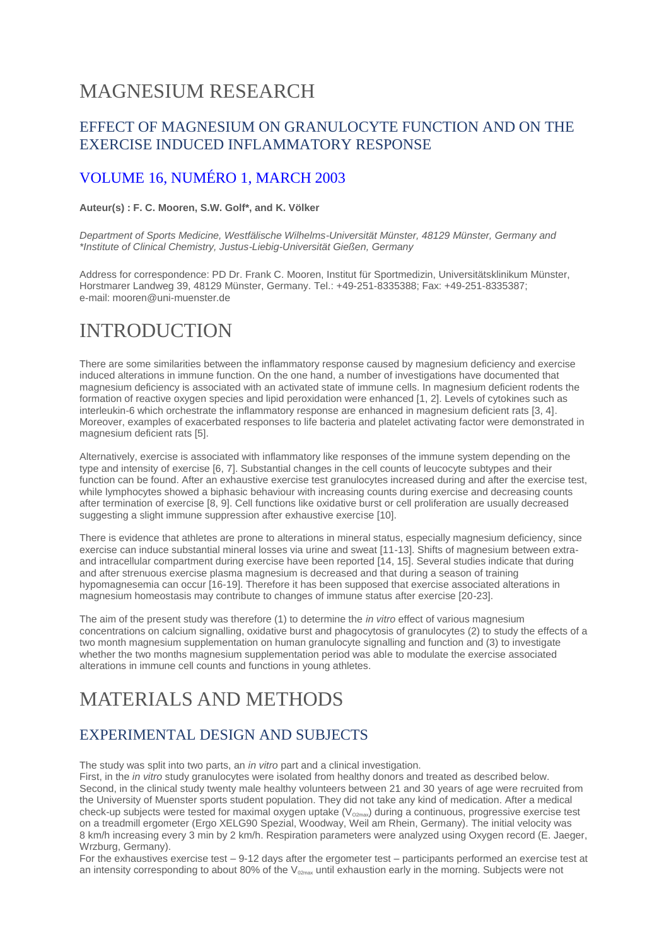## MAGNESIUM RESEARCH

#### EFFECT OF MAGNESIUM ON GRANULOCYTE FUNCTION AND ON THE EXERCISE INDUCED INFLAMMATORY RESPONSE

#### [VOLUME 16, NUMÉRO 1,](http://www.jle.com/fr/revues/mrh/sommaire.phtml?cle_parution=781) MARCH 2003

#### **Auteur(s) : F. C. Mooren, S.W. Golf\*, and K. Völker**

*Department of Sports Medicine, Westfälische Wilhelms-Universität Münster, 48129 Münster, Germany and \*Institute of Clinical Chemistry, Justus-Liebig-Universität Gießen, Germany*

Address for correspondence: PD Dr. Frank C. Mooren, Institut für Sportmedizin, Universitätsklinikum Münster, Horstmarer Landweg 39, 48129 Münster, Germany. Tel.: +49-251-8335388; Fax: +49-251-8335387; e-mail: mooren@uni-muenster.de

## INTRODUCTION

There are some similarities between the inflammatory response caused by magnesium deficiency and exercise induced alterations in immune function. On the one hand, a number of investigations have documented that magnesium deficiency is associated with an activated state of immune cells. In magnesium deficient rodents the formation of reactive oxygen species and lipid peroxidation were enhanced [1, 2]. Levels of cytokines such as interleukin-6 which orchestrate the inflammatory response are enhanced in magnesium deficient rats [3, 4]. Moreover, examples of exacerbated responses to life bacteria and platelet activating factor were demonstrated in magnesium deficient rats [5].

Alternatively, exercise is associated with inflammatory like responses of the immune system depending on the type and intensity of exercise [6, 7]. Substantial changes in the cell counts of leucocyte subtypes and their function can be found. After an exhaustive exercise test granulocytes increased during and after the exercise test, while lymphocytes showed a biphasic behaviour with increasing counts during exercise and decreasing counts after termination of exercise [8, 9]. Cell functions like oxidative burst or cell proliferation are usually decreased suggesting a slight immune suppression after exhaustive exercise [10].

There is evidence that athletes are prone to alterations in mineral status, especially magnesium deficiency, since exercise can induce substantial mineral losses via urine and sweat [11-13]. Shifts of magnesium between extraand intracellular compartment during exercise have been reported [14, 15]. Several studies indicate that during and after strenuous exercise plasma magnesium is decreased and that during a season of training hypomagnesemia can occur [16-19]. Therefore it has been supposed that exercise associated alterations in magnesium homeostasis may contribute to changes of immune status after exercise [20-23].

The aim of the present study was therefore (1) to determine the *in vitro* effect of various magnesium concentrations on calcium signalling, oxidative burst and phagocytosis of granulocytes (2) to study the effects of a two month magnesium supplementation on human granulocyte signalling and function and (3) to investigate whether the two months magnesium supplementation period was able to modulate the exercise associated alterations in immune cell counts and functions in young athletes.

## MATERIALS AND METHODS

#### EXPERIMENTAL DESIGN AND SUBJECTS

The study was split into two parts, an *in vitro* part and a clinical investigation.

First, in the *in vitro* study granulocytes were isolated from healthy donors and treated as described below. Second, in the clinical study twenty male healthy volunteers between 21 and 30 years of age were recruited from the University of Muenster sports student population. They did not take any kind of medication. After a medical check-up subjects were tested for maximal oxygen uptake  $(V_{\text{o2max}})$  during a continuous, progressive exercise test on a treadmill ergometer (Ergo XELG90 Spezial, Woodway, Weil am Rhein, Germany). The initial velocity was 8 km/h increasing every 3 min by 2 km/h. Respiration parameters were analyzed using Oxygen record (E. Jaeger, Wrzburg, Germany).

For the exhaustives exercise test – 9-12 days after the ergometer test – participants performed an exercise test at an intensity corresponding to about 80% of the  $V_{02max}$  until exhaustion early in the morning. Subjects were not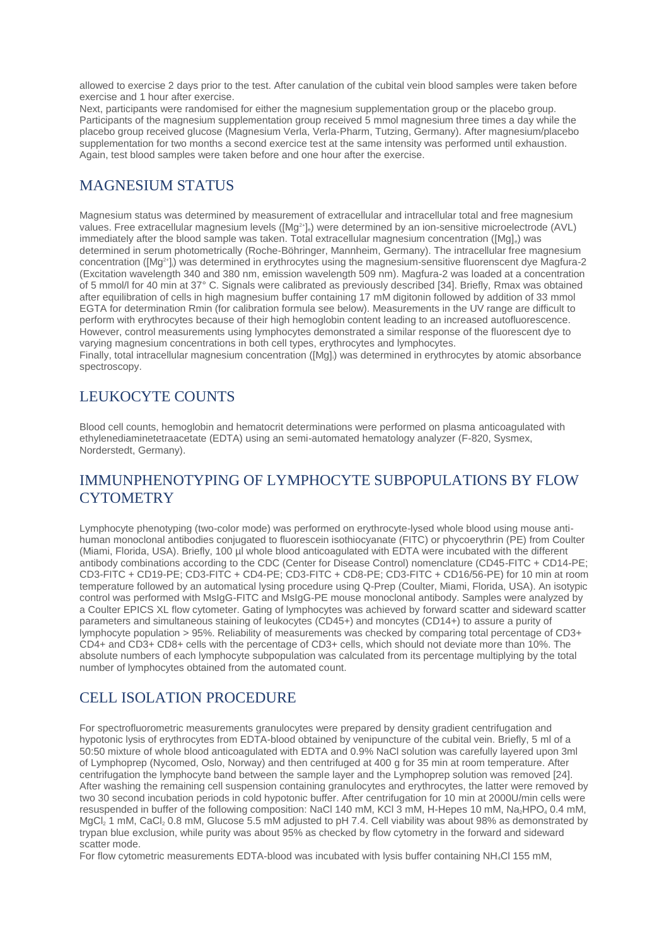allowed to exercise 2 days prior to the test. After canulation of the cubital vein blood samples were taken before exercise and 1 hour after exercise.

Next, participants were randomised for either the magnesium supplementation group or the placebo group. Participants of the magnesium supplementation group received 5 mmol magnesium three times a day while the placebo group received glucose (Magnesium Verla, Verla-Pharm, Tutzing, Germany). After magnesium/placebo supplementation for two months a second exercice test at the same intensity was performed until exhaustion. Again, test blood samples were taken before and one hour after the exercise.

#### MAGNESIUM STATUS

Magnesium status was determined by measurement of extracellular and intracellular total and free magnesium values. Free extracellular magnesium levels ([Mg<sup>2+</sup>]<sub>e</sub>) were determined by an ion-sensitive microelectrode (AVL) immediately after the blood sample was taken. Total extracellular magnesium concentration ([Mg].) was determined in serum photometrically (Roche-Böhringer, Mannheim, Germany). The intracellular free magnesium concentration ( $[Mg^{2+}]_i$ ) was determined in erythrocytes using the magnesium-sensitive fluorenscent dye Magfura-2 (Excitation wavelength 340 and 380 nm, emission wavelength 509 nm). Magfura-2 was loaded at a concentration of 5 mmol/l for 40 min at 37° C. Signals were calibrated as previously described [34]. Briefly, Rmax was obtained after equilibration of cells in high magnesium buffer containing 17 mM digitonin followed by addition of 33 mmol EGTA for determination Rmin (for calibration formula see below). Measurements in the UV range are difficult to perform with erythrocytes because of their high hemoglobin content leading to an increased autofluorescence. However, control measurements using lymphocytes demonstrated a similar response of the fluorescent dye to varying magnesium concentrations in both cell types, erythrocytes and lymphocytes. Finally, total intracellular magnesium concentration ([Mg],) was determined in erythrocytes by atomic absorbance

spectroscopy.

#### LEUKOCYTE COUNTS

Blood cell counts, hemoglobin and hematocrit determinations were performed on plasma anticoagulated with ethylenediaminetetraacetate (EDTA) using an semi-automated hematology analyzer (F-820, Sysmex, Norderstedt, Germany).

#### IMMUNPHENOTYPING OF LYMPHOCYTE SUBPOPULATIONS BY FLOW **CYTOMETRY**

Lymphocyte phenotyping (two-color mode) was performed on erythrocyte-lysed whole blood using mouse antihuman monoclonal antibodies conjugated to fluorescein isothiocyanate (FITC) or phycoerythrin (PE) from Coulter (Miami, Florida, USA). Briefly, 100 µl whole blood anticoagulated with EDTA were incubated with the different antibody combinations according to the CDC (Center for Disease Control) nomenclature (CD45-FITC + CD14-PE; CD3-FITC + CD19-PE; CD3-FITC + CD4-PE; CD3-FITC + CD8-PE; CD3-FITC + CD16/56-PE) for 10 min at room temperature followed by an automatical lysing procedure using Q-Prep (Coulter, Miami, Florida, USA). An isotypic control was performed with MsIgG-FITC and MsIgG-PE mouse monoclonal antibody. Samples were analyzed by a Coulter EPICS XL flow cytometer. Gating of lymphocytes was achieved by forward scatter and sideward scatter parameters and simultaneous staining of leukocytes (CD45+) and moncytes (CD14+) to assure a purity of lymphocyte population > 95%. Reliability of measurements was checked by comparing total percentage of CD3+ CD4+ and CD3+ CD8+ cells with the percentage of CD3+ cells, which should not deviate more than 10%. The absolute numbers of each lymphocyte subpopulation was calculated from its percentage multiplying by the total number of lymphocytes obtained from the automated count.

#### CELL ISOLATION PROCEDURE

For spectrofluorometric measurements granulocytes were prepared by density gradient centrifugation and hypotonic lysis of erythrocytes from EDTA-blood obtained by venipuncture of the cubital vein. Briefly, 5 ml of a 50:50 mixture of whole blood anticoagulated with EDTA and 0.9% NaCl solution was carefully layered upon 3ml of Lymphoprep (Nycomed, Oslo, Norway) and then centrifuged at 400 g for 35 min at room temperature. After centrifugation the lymphocyte band between the sample layer and the Lymphoprep solution was removed [24]. After washing the remaining cell suspension containing granulocytes and erythrocytes, the latter were removed by two 30 second incubation periods in cold hypotonic buffer. After centrifugation for 10 min at 2000U/min cells were resuspended in buffer of the following composition: NaCl 140 mM, KCl 3 mM, H-Hepes 10 mM, Na<sub>2</sub>HPO<sub>4</sub> 0.4 mM, MgCl<sub>2</sub> 1 mM, CaCl<sub>2</sub> 0.8 mM, Glucose 5.5 mM adjusted to pH 7.4. Cell viability was about 98% as demonstrated by trypan blue exclusion, while purity was about 95% as checked by flow cytometry in the forward and sideward scatter mode.

For flow cytometric measurements EDTA-blood was incubated with lysis buffer containing NH<sub>4</sub>Cl 155 mM,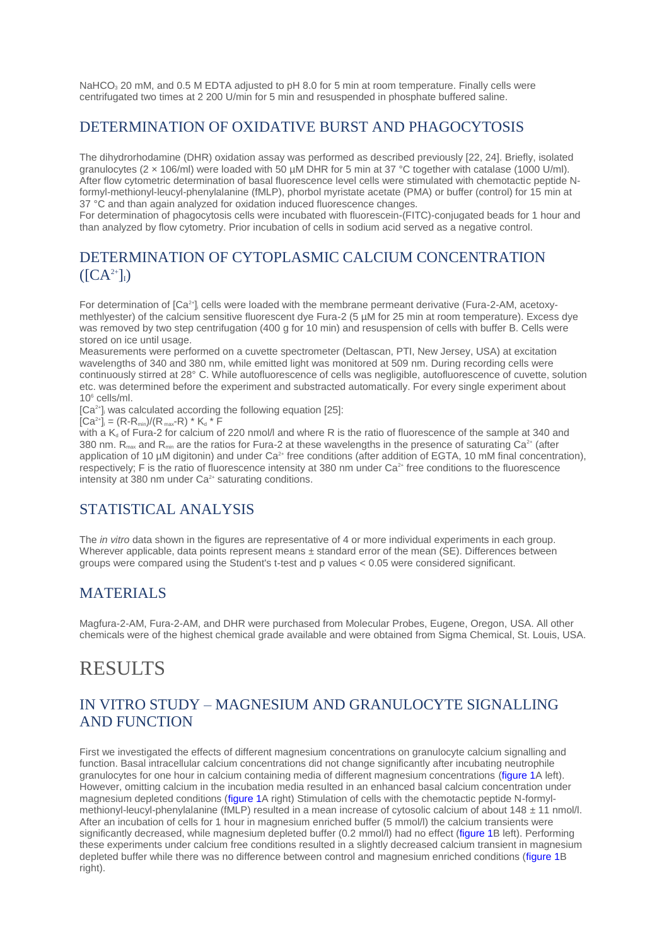NaHCO<sub>3</sub> 20 mM, and 0.5 M EDTA adjusted to pH 8.0 for 5 min at room temperature. Finally cells were centrifugated two times at 2 200 U/min for 5 min and resuspended in phosphate buffered saline.

#### DETERMINATION OF OXIDATIVE BURST AND PHAGOCYTOSIS

The dihydrorhodamine (DHR) oxidation assay was performed as described previously [22, 24]. Briefly, isolated granulocytes (2 × 106/ml) were loaded with 50 µM DHR for 5 min at 37 °C together with catalase (1000 U/ml). After flow cytometric determination of basal fluorescence level cells were stimulated with chemotactic peptide Nformyl-methionyl-leucyl-phenylalanine (fMLP), phorbol myristate acetate (PMA) or buffer (control) for 15 min at 37 °C and than again analyzed for oxidation induced fluorescence changes.

For determination of phagocytosis cells were incubated with fluorescein-(FITC)-conjugated beads for 1 hour and than analyzed by flow cytometry. Prior incubation of cells in sodium acid served as a negative control.

#### DETERMINATION OF CYTOPLASMIC CALCIUM CONCENTRATION  $([CA<sup>2+</sup>]$ <sub>I</sub>)

For determination of [Ca<sup>2+</sup>]<sub>i</sub> cells were loaded with the membrane permeant derivative (Fura-2-AM, acetoxymethlyester) of the calcium sensitive fluorescent dye Fura-2 (5 µM for 25 min at room temperature). Excess dye was removed by two step centrifugation (400 g for 10 min) and resuspension of cells with buffer B. Cells were stored on ice until usage.

Measurements were performed on a cuvette spectrometer (Deltascan, PTI, New Jersey, USA) at excitation wavelengths of 340 and 380 nm, while emitted light was monitored at 509 nm. During recording cells were continuously stirred at 28° C. While autofluorescence of cells was negligible, autofluorescence of cuvette, solution etc. was determined before the experiment and substracted automatically. For every single experiment about 10<sup>6</sup> cells/ml.

[Ca<sup>2+</sup>], was calculated according the following equation [25]:

 $[Ca^{2+}]_i = (R-R_{min})/(R_{max}-R) * K_d * F$ 

with a  $K_d$  of Fura-2 for calcium of 220 nmol/l and where R is the ratio of fluorescence of the sample at 340 and 380 nm.  $R_{\text{max}}$  and  $R_{\text{min}}$  are the ratios for Fura-2 at these wavelengths in the presence of saturating Ca<sup>2+</sup> (after application of 10  $\mu$ M digitonin) and under Ca<sup>2+</sup> free conditions (after addition of EGTA, 10 mM final concentration), respectively; F is the ratio of fluorescence intensity at 380 nm under Ca<sup>2+</sup> free conditions to the fluorescence intensity at 380 nm under  $Ca<sup>2+</sup>$  saturating conditions.

### STATISTICAL ANALYSIS

The *in vitro* data shown in the figures are representative of 4 or more individual experiments in each group. Wherever applicable, data points represent means  $\pm$  standard error of the mean (SE). Differences between groups were compared using the Student's t-test and p values < 0.05 were considered significant.

#### MATERIALS

Magfura-2-AM, Fura-2-AM, and DHR were purchased from Molecular Probes, Eugene, Oregon, USA. All other chemicals were of the highest chemical grade available and were obtained from Sigma Chemical, St. Louis, USA.

### **RESULTS**

#### IN VITRO STUDY – MAGNESIUM AND GRANULOCYTE SIGNALLING AND FUNCTION

First we investigated the effects of different magnesium concentrations on granulocyte calcium signalling and function. Basal intracellular calcium concentrations did not change significantly after incubating neutrophile granulocytes for one hour in calcium containing media of different magnesium concentrations [\(figure 1A](http://www.jle.com/fr/revues/mrh/e-docs/effect_of_magnesium_on_granulocyte_function_and_on_the_exercise_induced_inflammatory_response__260688/article.phtml?tab=images) left). However, omitting calcium in the incubation media resulted in an enhanced basal calcium concentration under magnesium depleted conditions [\(figure 1A](http://www.jle.com/fr/revues/mrh/e-docs/effect_of_magnesium_on_granulocyte_function_and_on_the_exercise_induced_inflammatory_response__260688/article.phtml?tab=images) right) Stimulation of cells with the chemotactic peptide N-formylmethionyl-leucyl-phenylalanine (fMLP) resulted in a mean increase of cytosolic calcium of about 148 ± 11 nmol/l. After an incubation of cells for 1 hour in magnesium enriched buffer (5 mmol/l) the calcium transients were significantly decreased, while magnesium depleted buffer (0.2 mmol/l) had no effect [\(figure 1B](http://www.jle.com/fr/revues/mrh/e-docs/effect_of_magnesium_on_granulocyte_function_and_on_the_exercise_induced_inflammatory_response__260688/article.phtml?tab=images) left). Performing these experiments under calcium free conditions resulted in a slightly decreased calcium transient in magnesium depleted buffer while there was no difference between control and magnesium enriched conditions [\(figure 1B](http://www.jle.com/fr/revues/mrh/e-docs/effect_of_magnesium_on_granulocyte_function_and_on_the_exercise_induced_inflammatory_response__260688/article.phtml?tab=images)) right).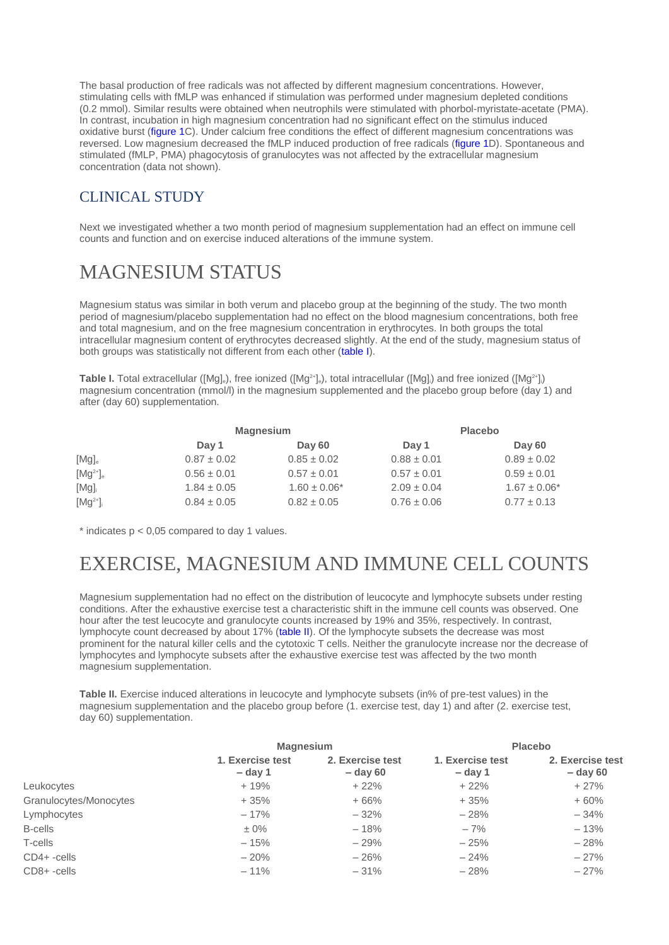The basal production of free radicals was not affected by different magnesium concentrations. However, stimulating cells with fMLP was enhanced if stimulation was performed under magnesium depleted conditions (0.2 mmol). Similar results were obtained when neutrophils were stimulated with phorbol-myristate-acetate (PMA). In contrast, incubation in high magnesium concentration had no significant effect on the stimulus induced oxidative burst [\(figure 1C](http://www.jle.com/fr/revues/mrh/e-docs/effect_of_magnesium_on_granulocyte_function_and_on_the_exercise_induced_inflammatory_response__260688/article.phtml?tab=images)). Under calcium free conditions the effect of different magnesium concentrations was reversed. Low magnesium decreased the fMLP induced production of free radicals [\(figure 1D](http://www.jle.com/fr/revues/mrh/e-docs/effect_of_magnesium_on_granulocyte_function_and_on_the_exercise_induced_inflammatory_response__260688/article.phtml?tab=images)). Spontaneous and stimulated (fMLP, PMA) phagocytosis of granulocytes was not affected by the extracellular magnesium concentration (data not shown).

### CLINICAL STUDY

Next we investigated whether a two month period of magnesium supplementation had an effect on immune cell counts and function and on exercise induced alterations of the immune system.

# MAGNESIUM STATUS

Magnesium status was similar in both verum and placebo group at the beginning of the study. The two month period of magnesium/placebo supplementation had no effect on the blood magnesium concentrations, both free and total magnesium, and on the free magnesium concentration in erythrocytes. In both groups the total intracellular magnesium content of erythrocytes decreased slightly. At the end of the study, magnesium status of both groups was statistically not different from each other [\(table](http://www.jle.com/fr/revues/mrh/e-docs/effect_of_magnesium_on_granulocyte_function_and_on_the_exercise_induced_inflammatory_response__260688/article.phtml?tab=texte#TABI) I).

**Table I.** Total extracellular ([Mg]<sub>e</sub>), free ionized ([Mg<sup>2+</sup>]<sub>e</sub>), total intracellular ([Mg]]) and free ionized ([Mg<sup>2+</sup>]) magnesium concentration (mmol/l) in the magnesium supplemented and the placebo group before (day 1) and after (day 60) supplementation.

|               | <b>Magnesium</b> |                   | <b>Placebo</b>  |                   |
|---------------|------------------|-------------------|-----------------|-------------------|
|               | Day 1            | Day 60            | Day 1           | Day 60            |
| $[Mg]_{e}$    | $0.87 \pm 0.02$  | $0.85 \pm 0.02$   | $0.88 \pm 0.01$ | $0.89 \pm 0.02$   |
| $[Mg^{2+}]_e$ | $0.56 \pm 0.01$  | $0.57 \pm 0.01$   | $0.57 \pm 0.01$ | $0.59 \pm 0.01$   |
| $[Mg]_i$      | $1.84 \pm 0.05$  | $1.60 \pm 0.06^*$ | $2.09 \pm 0.04$ | $1.67 \pm 0.06^*$ |
| $[Mg^{2+}]_i$ | $0.84 \pm 0.05$  | $0.82 \pm 0.05$   | $0.76 \pm 0.06$ | $0.77 \pm 0.13$   |

 $*$  indicates  $p < 0.05$  compared to day 1 values.

# EXERCISE, MAGNESIUM AND IMMUNE CELL COUNTS

Magnesium supplementation had no effect on the distribution of leucocyte and lymphocyte subsets under resting conditions. After the exhaustive exercise test a characteristic shift in the immune cell counts was observed. One hour after the test leucocyte and granulocyte counts increased by 19% and 35%, respectively. In contrast, lymphocyte count decreased by about 17% [\(table II\)](http://www.jle.com/fr/revues/mrh/e-docs/effect_of_magnesium_on_granulocyte_function_and_on_the_exercise_induced_inflammatory_response__260688/article.phtml?tab=texte#TABII). Of the lymphocyte subsets the decrease was most prominent for the natural killer cells and the cytotoxic T cells. Neither the granulocyte increase nor the decrease of lymphocytes and lymphocyte subsets after the exhaustive exercise test was affected by the two month magnesium supplementation.

**Table II.** Exercise induced alterations in leucocyte and lymphocyte subsets (in% of pre-test values) in the magnesium supplementation and the placebo group before (1. exercise test, day 1) and after (2. exercise test, day 60) supplementation.

|                        | <b>Magnesium</b>              |                                | <b>Placebo</b>                |                                |
|------------------------|-------------------------------|--------------------------------|-------------------------------|--------------------------------|
|                        | 1. Exercise test<br>$-$ day 1 | 2. Exercise test<br>$-$ day 60 | 1. Exercise test<br>$-$ day 1 | 2. Exercise test<br>$-$ day 60 |
| Leukocytes             | $+19%$                        | $+22%$                         | $+22%$                        | $+27%$                         |
| Granulocytes/Monocytes | $+35%$                        | $+66%$                         | $+35%$                        | $+60%$                         |
| Lymphocytes            | $-17%$                        | $-32%$                         | $-28%$                        | $-34%$                         |
| <b>B-cells</b>         | $\pm 0\%$                     | $-18%$                         | $-7%$                         | $-13%$                         |
| T-cells                | $-15%$                        | $-29%$                         | $-25%$                        | $-28%$                         |
| $CD4+ -cells$          | $-20%$                        | $-26%$                         | $-24%$                        | $-27%$                         |
| CD8+-cells             | $-11%$                        | $-31%$                         | $-28%$                        | $-27%$                         |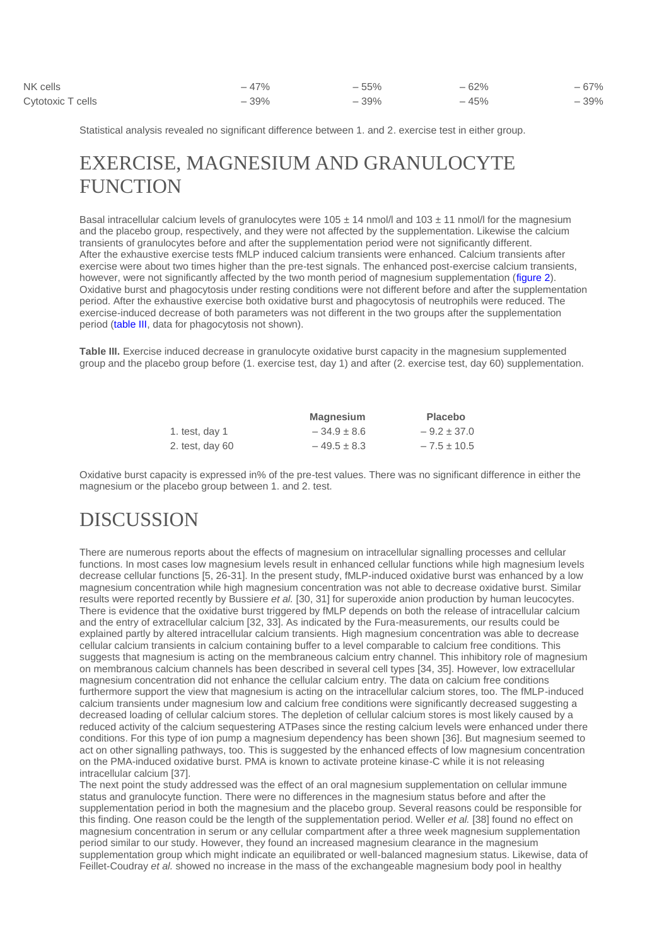| NK cells          | $-47%$ | $-55%$ | $-62%$ | $-67%$ |
|-------------------|--------|--------|--------|--------|
| Cytotoxic T cells | $-39%$ | $-39%$ | $-45%$ | $-39%$ |

Statistical analysis revealed no significant difference between 1. and 2. exercise test in either group.

### EXERCISE, MAGNESIUM AND GRANULOCYTE **FUNCTION**

Basal intracellular calcium levels of granulocytes were  $105 \pm 14$  nmol/l and  $103 \pm 11$  nmol/l for the magnesium and the placebo group, respectively, and they were not affected by the supplementation. Likewise the calcium transients of granulocytes before and after the supplementation period were not significantly different. After the exhaustive exercise tests fMLP induced calcium transients were enhanced. Calcium transients after exercise were about two times higher than the pre-test signals. The enhanced post-exercise calcium transients, however, were not significantly affected by the two month period of magnesium supplementation [\(figure 2\)](http://www.jle.com/fr/revues/mrh/e-docs/effect_of_magnesium_on_granulocyte_function_and_on_the_exercise_induced_inflammatory_response__260688/article.phtml?tab=images). Oxidative burst and phagocytosis under resting conditions were not different before and after the supplementation period. After the exhaustive exercise both oxidative burst and phagocytosis of neutrophils were reduced. The exercise-induced decrease of both parameters was not different in the two groups after the supplementation period [\(table III,](http://www.jle.com/fr/revues/mrh/e-docs/effect_of_magnesium_on_granulocyte_function_and_on_the_exercise_induced_inflammatory_response__260688/article.phtml?tab=texte#TABIII) data for phagocytosis not shown).

**Table III.** Exercise induced decrease in granulocyte oxidative burst capacity in the magnesium supplemented group and the placebo group before (1. exercise test, day 1) and after (2. exercise test, day 60) supplementation.

|                   | <b>Magnesium</b> | <b>Placebo</b>  |
|-------------------|------------------|-----------------|
| 1. test, day 1    | $-34.9 \pm 8.6$  | $-9.2 \pm 37.0$ |
| 2. test, day $60$ | $-49.5 \pm 8.3$  | $-7.5 \pm 10.5$ |

Oxidative burst capacity is expressed in% of the pre-test values. There was no significant difference in either the magnesium or the placebo group between 1. and 2. test.

### DISCUSSION

There are numerous reports about the effects of magnesium on intracellular signalling processes and cellular functions. In most cases low magnesium levels result in enhanced cellular functions while high magnesium levels decrease cellular functions [5, 26-31]. In the present study, fMLP-induced oxidative burst was enhanced by a low magnesium concentration while high magnesium concentration was not able to decrease oxidative burst. Similar results were reported recently by Bussiere *et al.* [30, 31] for superoxide anion production by human leucocytes. There is evidence that the oxidative burst triggered by fMLP depends on both the release of intracellular calcium and the entry of extracellular calcium [32, 33]. As indicated by the Fura-measurements, our results could be explained partly by altered intracellular calcium transients. High magnesium concentration was able to decrease cellular calcium transients in calcium containing buffer to a level comparable to calcium free conditions. This suggests that magnesium is acting on the membraneous calcium entry channel. This inhibitory role of magnesium on membranous calcium channels has been described in several cell types [34, 35]. However, low extracellular magnesium concentration did not enhance the cellular calcium entry. The data on calcium free conditions furthermore support the view that magnesium is acting on the intracellular calcium stores, too. The fMLP-induced calcium transients under magnesium low and calcium free conditions were significantly decreased suggesting a decreased loading of cellular calcium stores. The depletion of cellular calcium stores is most likely caused by a reduced activity of the calcium sequestering ATPases since the resting calcium levels were enhanced under there conditions. For this type of ion pump a magnesium dependency has been shown [36]. But magnesium seemed to act on other signalling pathways, too. This is suggested by the enhanced effects of low magnesium concentration on the PMA-induced oxidative burst. PMA is known to activate proteine kinase-C while it is not releasing intracellular calcium [37].

The next point the study addressed was the effect of an oral magnesium supplementation on cellular immune status and granulocyte function. There were no differences in the magnesium status before and after the supplementation period in both the magnesium and the placebo group. Several reasons could be responsible for this finding. One reason could be the length of the supplementation period. Weller *et al.* [38] found no effect on magnesium concentration in serum or any cellular compartment after a three week magnesium supplementation period similar to our study. However, they found an increased magnesium clearance in the magnesium supplementation group which might indicate an equilibrated or well-balanced magnesium status. Likewise, data of Feillet-Coudray *et al.* showed no increase in the mass of the exchangeable magnesium body pool in healthy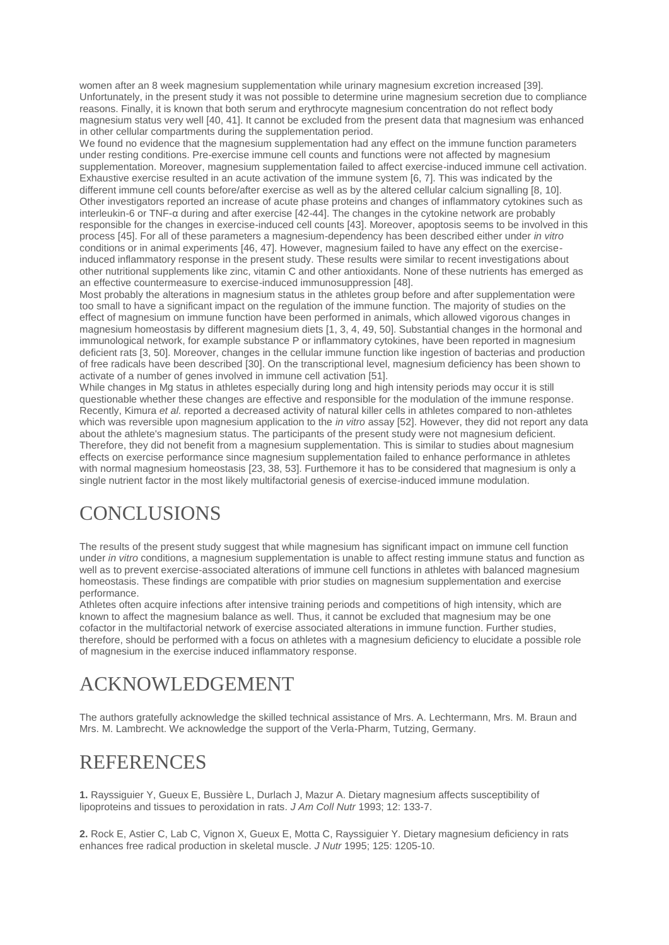women after an 8 week magnesium supplementation while urinary magnesium excretion increased [39]. Unfortunately, in the present study it was not possible to determine urine magnesium secretion due to compliance reasons. Finally, it is known that both serum and erythrocyte magnesium concentration do not reflect body magnesium status very well [40, 41]. It cannot be excluded from the present data that magnesium was enhanced in other cellular compartments during the supplementation period.

We found no evidence that the magnesium supplementation had any effect on the immune function parameters under resting conditions. Pre-exercise immune cell counts and functions were not affected by magnesium supplementation. Moreover, magnesium supplementation failed to affect exercise-induced immune cell activation. Exhaustive exercise resulted in an acute activation of the immune system [6, 7]. This was indicated by the different immune cell counts before/after exercise as well as by the altered cellular calcium signalling [8, 10]. Other investigators reported an increase of acute phase proteins and changes of inflammatory cytokines such as interleukin-6 or TNF-α during and after exercise [42-44]. The changes in the cytokine network are probably responsible for the changes in exercise-induced cell counts [43]. Moreover, apoptosis seems to be involved in this process [45]. For all of these parameters a magnesium-dependency has been described either under *in vitro* conditions or in animal experiments [46, 47]. However, magnesium failed to have any effect on the exerciseinduced inflammatory response in the present study. These results were similar to recent investigations about other nutritional supplements like zinc, vitamin C and other antioxidants. None of these nutrients has emerged as an effective countermeasure to exercise-induced immunosuppression [48].

Most probably the alterations in magnesium status in the athletes group before and after supplementation were too small to have a significant impact on the regulation of the immune function. The majority of studies on the effect of magnesium on immune function have been performed in animals, which allowed vigorous changes in magnesium homeostasis by different magnesium diets [1, 3, 4, 49, 50]. Substantial changes in the hormonal and immunological network, for example substance P or inflammatory cytokines, have been reported in magnesium deficient rats [3, 50]. Moreover, changes in the cellular immune function like ingestion of bacterias and production of free radicals have been described [30]. On the transcriptional level, magnesium deficiency has been shown to activate of a number of genes involved in immune cell activation [51].

While changes in Mg status in athletes especially during long and high intensity periods may occur it is still questionable whether these changes are effective and responsible for the modulation of the immune response. Recently, Kimura *et al.* reported a decreased activity of natural killer cells in athletes compared to non-athletes which was reversible upon magnesium application to the *in vitro* assay [52]. However, they did not report any data about the athlete's magnesium status. The participants of the present study were not magnesium deficient. Therefore, they did not benefit from a magnesium supplementation. This is similar to studies about magnesium effects on exercise performance since magnesium supplementation failed to enhance performance in athletes with normal magnesium homeostasis [23, 38, 53]. Furthemore it has to be considered that magnesium is only a single nutrient factor in the most likely multifactorial genesis of exercise-induced immune modulation.

## **CONCLUSIONS**

The results of the present study suggest that while magnesium has significant impact on immune cell function under *in vitro* conditions, a magnesium supplementation is unable to affect resting immune status and function as well as to prevent exercise-associated alterations of immune cell functions in athletes with balanced magnesium homeostasis. These findings are compatible with prior studies on magnesium supplementation and exercise performance.

Athletes often acquire infections after intensive training periods and competitions of high intensity, which are known to affect the magnesium balance as well. Thus, it cannot be excluded that magnesium may be one cofactor in the multifactorial network of exercise associated alterations in immune function. Further studies, therefore, should be performed with a focus on athletes with a magnesium deficiency to elucidate a possible role of magnesium in the exercise induced inflammatory response.

## ACKNOWLEDGEMENT

The authors gratefully acknowledge the skilled technical assistance of Mrs. A. Lechtermann, Mrs. M. Braun and Mrs. M. Lambrecht. We acknowledge the support of the Verla-Pharm, Tutzing, Germany.

## **REFERENCES**

**1.** Rayssiguier Y, Gueux E, Bussière L, Durlach J, Mazur A. Dietary magnesium affects susceptibility of lipoproteins and tissues to peroxidation in rats. *J Am Coll Nutr* 1993; 12: 133-7.

**2.** Rock E, Astier C, Lab C, Vignon X, Gueux E, Motta C, Rayssiguier Y. Dietary magnesium deficiency in rats enhances free radical production in skeletal muscle. *J Nutr* 1995; 125: 1205-10.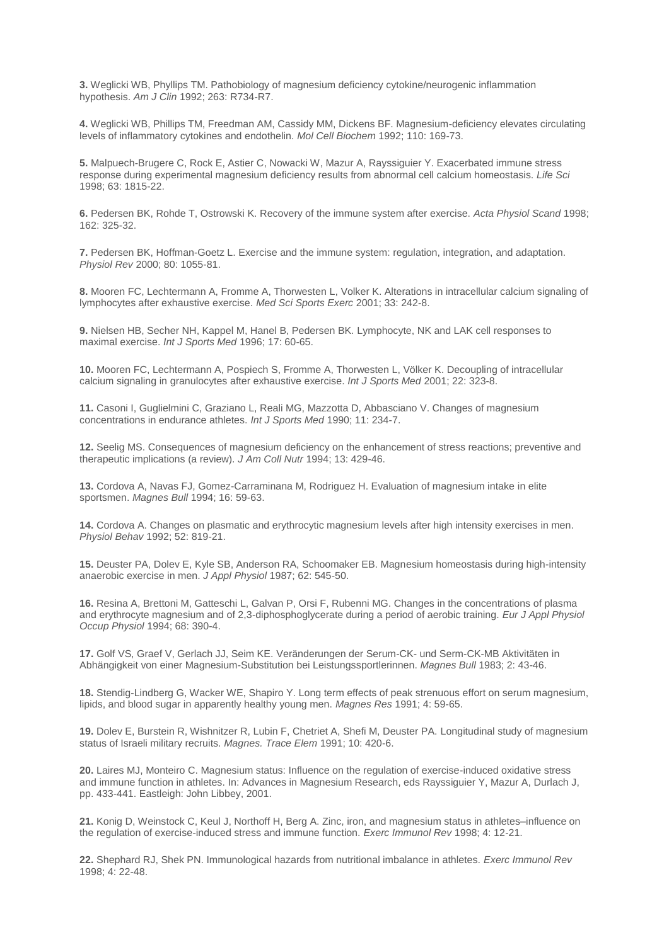**3.** Weglicki WB, Phyllips TM. Pathobiology of magnesium deficiency cytokine/neurogenic inflammation hypothesis. *Am J Clin* 1992; 263: R734-R7.

**4.** Weglicki WB, Phillips TM, Freedman AM, Cassidy MM, Dickens BF. Magnesium-deficiency elevates circulating levels of inflammatory cytokines and endothelin. *Mol Cell Biochem* 1992; 110: 169-73.

**5.** Malpuech-Brugere C, Rock E, Astier C, Nowacki W, Mazur A, Rayssiguier Y. Exacerbated immune stress response during experimental magnesium deficiency results from abnormal cell calcium homeostasis. *Life Sci* 1998; 63: 1815-22.

**6.** Pedersen BK, Rohde T, Ostrowski K. Recovery of the immune system after exercise. *Acta Physiol Scand* 1998; 162: 325-32.

**7.** Pedersen BK, Hoffman-Goetz L. Exercise and the immune system: regulation, integration, and adaptation. *Physiol Rev* 2000; 80: 1055-81.

**8.** Mooren FC, Lechtermann A, Fromme A, Thorwesten L, Volker K. Alterations in intracellular calcium signaling of lymphocytes after exhaustive exercise. *Med Sci Sports Exerc* 2001; 33: 242-8.

**9.** Nielsen HB, Secher NH, Kappel M, Hanel B, Pedersen BK. Lymphocyte, NK and LAK cell responses to maximal exercise. *Int J Sports Med* 1996; 17: 60-65.

**10.** Mooren FC, Lechtermann A, Pospiech S, Fromme A, Thorwesten L, Völker K. Decoupling of intracellular calcium signaling in granulocytes after exhaustive exercise. *Int J Sports Med* 2001; 22: 323-8.

**11.** Casoni I, Guglielmini C, Graziano L, Reali MG, Mazzotta D, Abbasciano V. Changes of magnesium concentrations in endurance athletes. *Int J Sports Med* 1990; 11: 234-7.

**12.** Seelig MS. Consequences of magnesium deficiency on the enhancement of stress reactions; preventive and therapeutic implications (a review). *J Am Coll Nutr* 1994; 13: 429-46.

**13.** Cordova A, Navas FJ, Gomez-Carraminana M, Rodriguez H. Evaluation of magnesium intake in elite sportsmen. *Magnes Bull* 1994; 16: 59-63.

**14.** Cordova A. Changes on plasmatic and erythrocytic magnesium levels after high intensity exercises in men. *Physiol Behav* 1992; 52: 819-21.

**15.** Deuster PA, Dolev E, Kyle SB, Anderson RA, Schoomaker EB. Magnesium homeostasis during high-intensity anaerobic exercise in men. *J Appl Physiol* 1987; 62: 545-50.

**16.** Resina A, Brettoni M, Gatteschi L, Galvan P, Orsi F, Rubenni MG. Changes in the concentrations of plasma and erythrocyte magnesium and of 2,3-diphosphoglycerate during a period of aerobic training. *Eur J Appl Physiol Occup Physiol* 1994; 68: 390-4.

**17.** Golf VS, Graef V, Gerlach JJ, Seim KE. Veränderungen der Serum-CK- und Serm-CK-MB Aktivitäten in Abhängigkeit von einer Magnesium-Substitution bei Leistungssportlerinnen. *Magnes Bull* 1983; 2: 43-46.

**18.** Stendig-Lindberg G, Wacker WE, Shapiro Y. Long term effects of peak strenuous effort on serum magnesium, lipids, and blood sugar in apparently healthy young men. *Magnes Res* 1991; 4: 59-65.

**19.** Dolev E, Burstein R, Wishnitzer R, Lubin F, Chetriet A, Shefi M, Deuster PA. Longitudinal study of magnesium status of Israeli military recruits. *Magnes. Trace Elem* 1991; 10: 420-6.

**20.** Laires MJ, Monteiro C. Magnesium status: Influence on the regulation of exercise-induced oxidative stress and immune function in athletes. In: Advances in Magnesium Research, eds Rayssiguier Y, Mazur A, Durlach J, pp. 433-441. Eastleigh: John Libbey, 2001.

**21.** Konig D, Weinstock C, Keul J, Northoff H, Berg A. Zinc, iron, and magnesium status in athletes–influence on the regulation of exercise-induced stress and immune function. *Exerc Immunol Rev* 1998; 4: 12-21.

**22.** Shephard RJ, Shek PN. Immunological hazards from nutritional imbalance in athletes. *Exerc Immunol Rev* 1998; 4: 22-48.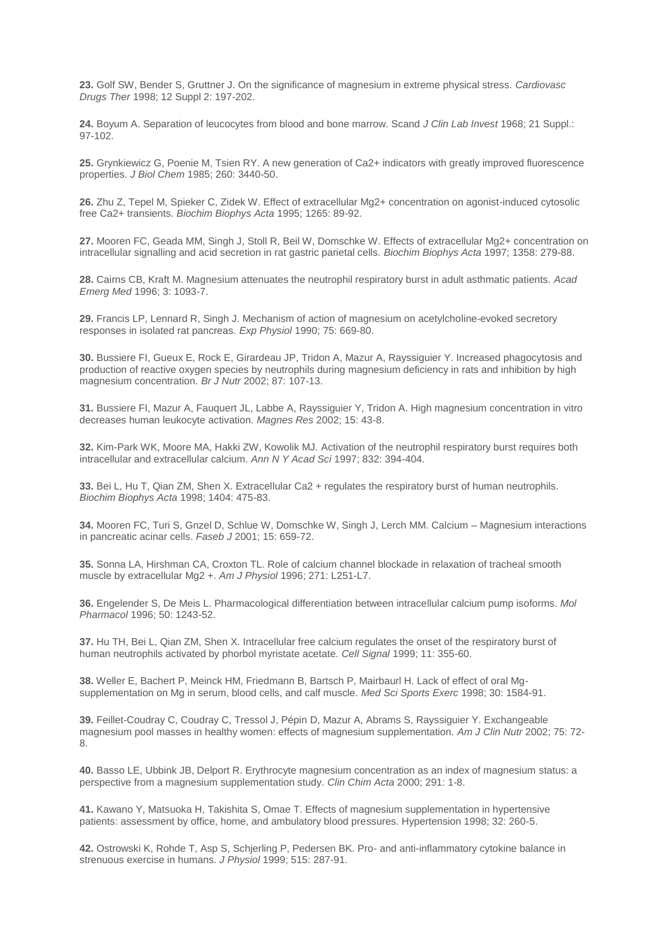**23.** Golf SW, Bender S, Gruttner J. On the significance of magnesium in extreme physical stress. *Cardiovasc Drugs Ther* 1998; 12 Suppl 2: 197-202.

**24.** Boyum A. Separation of leucocytes from blood and bone marrow. Scand *J Clin Lab Invest* 1968; 21 Suppl.: 97-102.

**25.** Grynkiewicz G, Poenie M, Tsien RY. A new generation of Ca2+ indicators with greatly improved fluorescence properties. *J Biol Chem* 1985; 260: 3440-50.

**26.** Zhu Z, Tepel M, Spieker C, Zidek W. Effect of extracellular Mg2+ concentration on agonist-induced cytosolic free Ca2+ transients. *Biochim Biophys Acta* 1995; 1265: 89-92.

**27.** Mooren FC, Geada MM, Singh J, Stoll R, Beil W, Domschke W. Effects of extracellular Mg2+ concentration on intracellular signalling and acid secretion in rat gastric parietal cells. *Biochim Biophys Acta* 1997; 1358: 279-88.

**28.** Cairns CB, Kraft M. Magnesium attenuates the neutrophil respiratory burst in adult asthmatic patients. *Acad Emerg Med* 1996; 3: 1093-7.

**29.** Francis LP, Lennard R, Singh J. Mechanism of action of magnesium on acetylcholine-evoked secretory responses in isolated rat pancreas. *Exp Physiol* 1990; 75: 669-80.

**30.** Bussiere FI, Gueux E, Rock E, Girardeau JP, Tridon A, Mazur A, Rayssiguier Y. Increased phagocytosis and production of reactive oxygen species by neutrophils during magnesium deficiency in rats and inhibition by high magnesium concentration. *Br J Nutr* 2002; 87: 107-13.

**31.** Bussiere FI, Mazur A, Fauquert JL, Labbe A, Rayssiguier Y, Tridon A. High magnesium concentration in vitro decreases human leukocyte activation. *Magnes Res* 2002; 15: 43-8.

**32.** Kim-Park WK, Moore MA, Hakki ZW, Kowolik MJ. Activation of the neutrophil respiratory burst requires both intracellular and extracellular calcium. *Ann N Y Acad Sci* 1997; 832: 394-404.

**33.** Bei L, Hu T, Qian ZM, Shen X. Extracellular Ca2 + regulates the respiratory burst of human neutrophils. *Biochim Biophys Acta* 1998; 1404: 475-83.

**34.** Mooren FC, Turi S, Gnzel D, Schlue W, Domschke W, Singh J, Lerch MM. Calcium – Magnesium interactions in pancreatic acinar cells. *Faseb J* 2001; 15: 659-72.

**35.** Sonna LA, Hirshman CA, Croxton TL. Role of calcium channel blockade in relaxation of tracheal smooth muscle by extracellular Mg2 +. *Am J Physiol* 1996; 271: L251-L7.

**36.** Engelender S, De Meis L. Pharmacological differentiation between intracellular calcium pump isoforms. *Mol Pharmacol* 1996; 50: 1243-52.

**37.** Hu TH, Bei L, Qian ZM, Shen X. Intracellular free calcium regulates the onset of the respiratory burst of human neutrophils activated by phorbol myristate acetate. *Cell Signal* 1999; 11: 355-60.

**38.** Weller E, Bachert P, Meinck HM, Friedmann B, Bartsch P, Mairbaurl H. Lack of effect of oral Mgsupplementation on Mg in serum, blood cells, and calf muscle. *Med Sci Sports Exerc* 1998; 30: 1584-91.

**39.** Feillet-Coudray C, Coudray C, Tressol J, Pépin D, Mazur A, Abrams S, Rayssiguier Y. Exchangeable magnesium pool masses in healthy women: effects of magnesium supplementation. *Am J Clin Nutr* 2002; 75: 72- 8.

**40.** Basso LE, Ubbink JB, Delport R. Erythrocyte magnesium concentration as an index of magnesium status: a perspective from a magnesium supplementation study. *Clin Chim Acta* 2000; 291: 1-8.

**41.** Kawano Y, Matsuoka H, Takishita S, Omae T. Effects of magnesium supplementation in hypertensive patients: assessment by office, home, and ambulatory blood pressures. Hypertension 1998; 32: 260-5.

**42.** Ostrowski K, Rohde T, Asp S, Schjerling P, Pedersen BK. Pro- and anti-inflammatory cytokine balance in strenuous exercise in humans. *J Physiol* 1999; 515: 287-91.